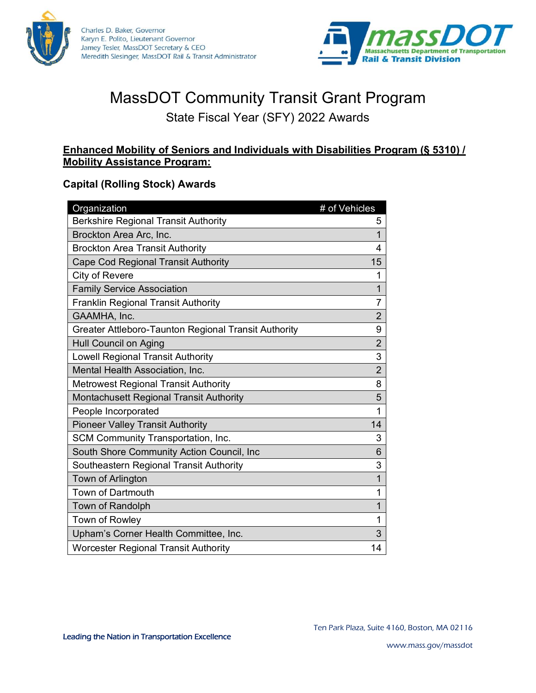



# MassDOT Community Transit Grant Program

## State Fiscal Year (SFY) 2022 Awards

#### **Enhanced Mobility of Seniors and Individuals with Disabilities Program (§ 5310) / Mobility Assistance Program:**

#### **Capital (Rolling Stock) Awards**

| Organization                                         | # of Vehicles  |
|------------------------------------------------------|----------------|
| <b>Berkshire Regional Transit Authority</b>          | 5              |
| Brockton Area Arc, Inc.                              | 1              |
| <b>Brockton Area Transit Authority</b>               | 4              |
| <b>Cape Cod Regional Transit Authority</b>           | 15             |
| City of Revere                                       | 1              |
| <b>Family Service Association</b>                    | 1              |
| <b>Franklin Regional Transit Authority</b>           | $\overline{7}$ |
| GAAMHA, Inc.                                         | $\overline{2}$ |
| Greater Attleboro-Taunton Regional Transit Authority | 9              |
| <b>Hull Council on Aging</b>                         | $\overline{2}$ |
| <b>Lowell Regional Transit Authority</b>             | 3              |
| Mental Health Association, Inc.                      | $\overline{2}$ |
| <b>Metrowest Regional Transit Authority</b>          | 8              |
| Montachusett Regional Transit Authority              | 5              |
| People Incorporated                                  | 1              |
| <b>Pioneer Valley Transit Authority</b>              | 14             |
| SCM Community Transportation, Inc.                   | 3              |
| South Shore Community Action Council, Inc            | 6              |
| Southeastern Regional Transit Authority              | 3              |
| Town of Arlington                                    | 1              |
| <b>Town of Dartmouth</b>                             | 1              |
| Town of Randolph                                     | 1              |
| Town of Rowley                                       | 1              |
| Upham's Corner Health Committee, Inc.                | 3              |
| <b>Worcester Regional Transit Authority</b>          | 14             |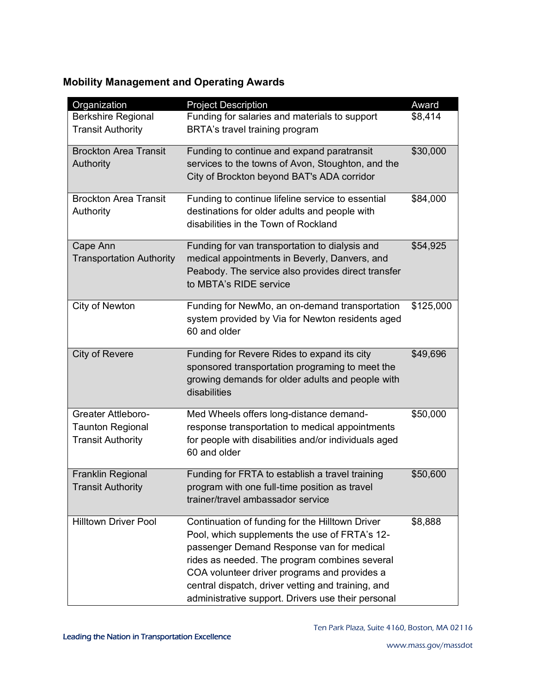### **Mobility Management and Operating Awards**

| Organization                                                                     | <b>Project Description</b>                                                                                                                                                                                                                                                                                                                                 | Award     |
|----------------------------------------------------------------------------------|------------------------------------------------------------------------------------------------------------------------------------------------------------------------------------------------------------------------------------------------------------------------------------------------------------------------------------------------------------|-----------|
| <b>Berkshire Regional</b><br><b>Transit Authority</b>                            | Funding for salaries and materials to support<br>BRTA's travel training program                                                                                                                                                                                                                                                                            | \$8,414   |
| <b>Brockton Area Transit</b><br>Authority                                        | Funding to continue and expand paratransit<br>services to the towns of Avon, Stoughton, and the<br>City of Brockton beyond BAT's ADA corridor                                                                                                                                                                                                              | \$30,000  |
| <b>Brockton Area Transit</b><br>Authority                                        | Funding to continue lifeline service to essential<br>destinations for older adults and people with<br>disabilities in the Town of Rockland                                                                                                                                                                                                                 | \$84,000  |
| Cape Ann<br><b>Transportation Authority</b>                                      | Funding for van transportation to dialysis and<br>medical appointments in Beverly, Danvers, and<br>Peabody. The service also provides direct transfer<br>to MBTA's RIDE service                                                                                                                                                                            | \$54,925  |
| City of Newton                                                                   | Funding for NewMo, an on-demand transportation<br>system provided by Via for Newton residents aged<br>60 and older                                                                                                                                                                                                                                         | \$125,000 |
| <b>City of Revere</b>                                                            | Funding for Revere Rides to expand its city<br>sponsored transportation programing to meet the<br>growing demands for older adults and people with<br>disabilities                                                                                                                                                                                         | \$49,696  |
| <b>Greater Attleboro-</b><br><b>Taunton Regional</b><br><b>Transit Authority</b> | Med Wheels offers long-distance demand-<br>response transportation to medical appointments<br>for people with disabilities and/or individuals aged<br>60 and older                                                                                                                                                                                         | \$50,000  |
| <b>Franklin Regional</b><br><b>Transit Authority</b>                             | Funding for FRTA to establish a travel training<br>program with one full-time position as travel<br>trainer/travel ambassador service                                                                                                                                                                                                                      | \$50,600  |
| <b>Hilltown Driver Pool</b>                                                      | Continuation of funding for the Hilltown Driver<br>Pool, which supplements the use of FRTA's 12-<br>passenger Demand Response van for medical<br>rides as needed. The program combines several<br>COA volunteer driver programs and provides a<br>central dispatch, driver vetting and training, and<br>administrative support. Drivers use their personal | \$8,888   |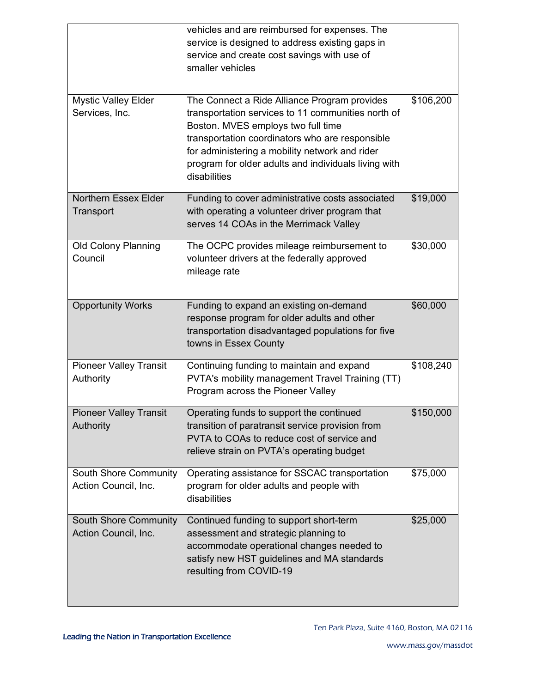|                                                      | vehicles and are reimbursed for expenses. The<br>service is designed to address existing gaps in<br>service and create cost savings with use of<br>smaller vehicles                                                                                                                                                   |           |
|------------------------------------------------------|-----------------------------------------------------------------------------------------------------------------------------------------------------------------------------------------------------------------------------------------------------------------------------------------------------------------------|-----------|
| <b>Mystic Valley Elder</b><br>Services, Inc.         | The Connect a Ride Alliance Program provides<br>transportation services to 11 communities north of<br>Boston. MVES employs two full time<br>transportation coordinators who are responsible<br>for administering a mobility network and rider<br>program for older adults and individuals living with<br>disabilities | \$106,200 |
| <b>Northern Essex Elder</b><br>Transport             | Funding to cover administrative costs associated<br>with operating a volunteer driver program that<br>serves 14 COAs in the Merrimack Valley                                                                                                                                                                          | \$19,000  |
| <b>Old Colony Planning</b><br>Council                | The OCPC provides mileage reimbursement to<br>volunteer drivers at the federally approved<br>mileage rate                                                                                                                                                                                                             | \$30,000  |
| <b>Opportunity Works</b>                             | Funding to expand an existing on-demand<br>response program for older adults and other<br>transportation disadvantaged populations for five<br>towns in Essex County                                                                                                                                                  | \$60,000  |
| <b>Pioneer Valley Transit</b><br>Authority           | Continuing funding to maintain and expand<br>PVTA's mobility management Travel Training (TT)<br>Program across the Pioneer Valley                                                                                                                                                                                     | \$108,240 |
| <b>Pioneer Valley Transit</b><br>Authority           | Operating funds to support the continued<br>transition of paratransit service provision from<br>PVTA to COAs to reduce cost of service and<br>relieve strain on PVTA's operating budget                                                                                                                               | \$150,000 |
| South Shore Community<br>Action Council, Inc.        | Operating assistance for SSCAC transportation<br>program for older adults and people with<br>disabilities                                                                                                                                                                                                             | \$75,000  |
| <b>South Shore Community</b><br>Action Council, Inc. | Continued funding to support short-term<br>assessment and strategic planning to<br>accommodate operational changes needed to<br>satisfy new HST guidelines and MA standards<br>resulting from COVID-19                                                                                                                | \$25,000  |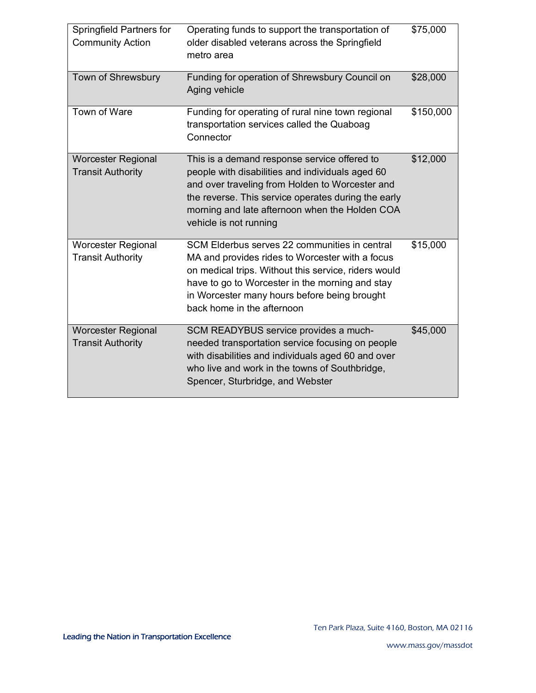| Springfield Partners for<br><b>Community Action</b>   | Operating funds to support the transportation of<br>older disabled veterans across the Springfield<br>metro area                                                                                                                                                                          | \$75,000  |
|-------------------------------------------------------|-------------------------------------------------------------------------------------------------------------------------------------------------------------------------------------------------------------------------------------------------------------------------------------------|-----------|
| Town of Shrewsbury                                    | Funding for operation of Shrewsbury Council on<br>Aging vehicle                                                                                                                                                                                                                           | \$28,000  |
| Town of Ware                                          | Funding for operating of rural nine town regional<br>transportation services called the Quaboag<br>Connector                                                                                                                                                                              | \$150,000 |
| <b>Worcester Regional</b><br><b>Transit Authority</b> | This is a demand response service offered to<br>people with disabilities and individuals aged 60<br>and over traveling from Holden to Worcester and<br>the reverse. This service operates during the early<br>morning and late afternoon when the Holden COA<br>vehicle is not running    | \$12,000  |
| <b>Worcester Regional</b><br><b>Transit Authority</b> | SCM Elderbus serves 22 communities in central<br>MA and provides rides to Worcester with a focus<br>on medical trips. Without this service, riders would<br>have to go to Worcester in the morning and stay<br>in Worcester many hours before being brought<br>back home in the afternoon | \$15,000  |
| <b>Worcester Regional</b><br><b>Transit Authority</b> | SCM READYBUS service provides a much-<br>needed transportation service focusing on people<br>with disabilities and individuals aged 60 and over<br>who live and work in the towns of Southbridge,<br>Spencer, Sturbridge, and Webster                                                     | \$45,000  |